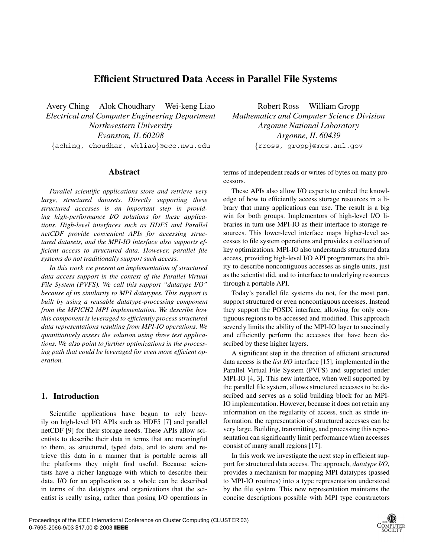# **Efficient Structured Data Access in Parallel File Systems**

Avery Ching Alok Choudhary Wei-keng Liao *Electrical and Computer Engineering Department Northwestern University Evanston, IL 60208* {aching, choudhar, wkliao}@ece.nwu.edu

### **Abstract**

*Parallel scientific applications store and retrieve very large, structured datasets. Directly supporting these structured accesses is an important step in providing high-performance I/O solutions for these applications. High-level interfaces such as HDF5 and Parallel netCDF provide convenient APIs for accessing structured datasets, and the MPI-IO interface also supports efficient access to structured data. However, parallel file systems do not traditionally support such access.*

*In this work we present an implementation of structured data access support in the context of the Parallel Virtual File System (PVFS). We call this support "datatype I/O" because of its similarity to MPI datatypes. This support is built by using a reusable datatype-processing component from the MPICH2 MPI implementation. We describe how this component is leveraged to efficiently process structured data representations resulting from MPI-IO operations. We quantitatively assess the solution using three test applications. We also point to further optimizations in the processing path that could be leveraged for even more efficient operation.*

# **1. Introduction**

Scientific applications have begun to rely heavily on high-level I/O APIs such as HDF5 [7] and parallel netCDF [9] for their storage needs. These APIs allow scientists to describe their data in terms that are meaningful to them, as structured, typed data, and to store and retrieve this data in a manner that is portable across all the platforms they might find useful. Because scientists have a richer language with which to describe their data, I/O for an application as a whole can be described in terms of the datatypes and organizations that the scientist is really using, rather than posing I/O operations in

Robert Ross William Gropp *Mathematics and Computer Science Division Argonne National Laboratory Argonne, IL 60439* rross, gropp@mcs.anl.gov

terms of independent reads or writes of bytes on many processors.

These APIs also allow I/O experts to embed the knowledge of how to efficiently access storage resources in a library that many applications can use. The result is a big win for both groups. Implementors of high-level I/O libraries in turn use MPI-IO as their interface to storage resources. This lower-level interface maps higher-level accesses to file system operations and provides a collection of key optimizations. MPI-IO also understands structured data access, providing high-level I/O API programmers the ability to describe noncontiguous accesses as single units, just as the scientist did, and to interface to underlying resources through a portable API.

Today's parallel file systems do not, for the most part, support structured or even noncontiguous accesses. Instead they support the POSIX interface, allowing for only contiguous regions to be accessed and modified. This approach severely limits the ability of the MPI-IO layer to succinctly and efficiently perform the accesses that have been described by these higher layers.

A significant step in the direction of efficient structured data access is the *list I/O* interface [15], implemented in the Parallel Virtual File System (PVFS) and supported under MPI-IO [4, 3]. This new interface, when well supported by the parallel file system, allows structured accesses to be described and serves as a solid building block for an MPI-IO implementation. However, because it does not retain any information on the regularity of access, such as stride information, the representation of structured accesses can be very large. Building, transmitting, and processing this representation can significantly limit performance when accesses consist of many small regions [17].

In this work we investigate the next step in efficient support for structured data access. The approach, *datatype I/O*, provides a mechanism for mapping MPI datatypes (passed to MPI-IO routines) into a type representation understood by the file system. This new representation maintains the concise descriptions possible with MPI type constructors

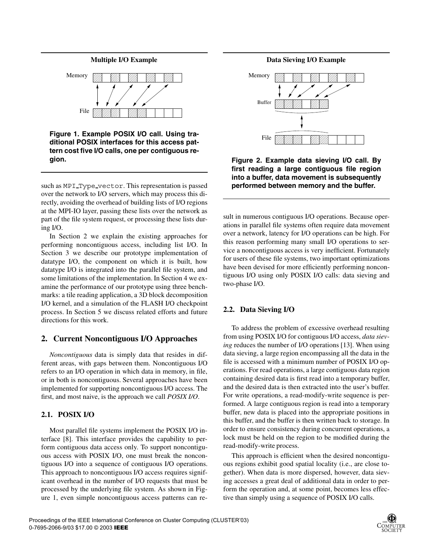

**Figure 1. Example POSIX I/O call. Using traditional POSIX interfaces for this access pattern cost five I/O calls, one per contiguous region.**

such as MPI Type vector. This representation is passed over the network to I/O servers, which may process this directly, avoiding the overhead of building lists of I/O regions at the MPI-IO layer, passing these lists over the network as part of the file system request, or processing these lists during I/O.

In Section 2 we explain the existing approaches for performing noncontiguous access, including list I/O. In Section 3 we describe our prototype implementation of datatype I/O, the component on which it is built, how datatype I/O is integrated into the parallel file system, and some limitations of the implementation. In Section 4 we examine the performance of our prototype using three benchmarks: a tile reading application, a 3D block decomposition I/O kernel, and a simulation of the FLASH I/O checkpoint process. In Section 5 we discuss related efforts and future directions for this work.

# **2. Current Noncontiguous I/O Approaches**

*Noncontiguous* data is simply data that resides in different areas, with gaps between them. Noncontiguous I/O refers to an I/O operation in which data in memory, in file, or in both is noncontiguous. Several approaches have been implemented for supporting noncontiguous I/O access. The first, and most naive, is the approach we call *POSIX I/O*.

# **2.1. POSIX I/O**

Most parallel file systems implement the POSIX I/O interface [8]. This interface provides the capability to perform contiguous data access only. To support noncontiguous access with POSIX I/O, one must break the noncontiguous I/O into a sequence of contiguous I/O operations. This approach to noncontiguous I/O access requires significant overhead in the number of I/O requests that must be processed by the underlying file system. As shown in Figure 1, even simple noncontiguous access patterns can re-

**Data Sieving I/O Example**



**Figure 2. Example data sieving I/O call. By first reading a large contiguous file region into a buffer, data movement is subsequently performed between memory and the buffer.**

sult in numerous contiguous I/O operations. Because operations in parallel file systems often require data movement over a network, latency for I/O operations can be high. For this reason performing many small I/O operations to service a noncontiguous access is very inefficient. Fortunately for users of these file systems, two important optimizations have been devised for more efficiently performing noncontiguous I/O using only POSIX I/O calls: data sieving and two-phase I/O.

# **2.2. Data Sieving I/O**

To address the problem of excessive overhead resulting from using POSIX I/O for contiguous I/O access, *data sieving* reduces the number of I/O operations [13]. When using data sieving, a large region encompassing all the data in the file is accessed with a minimum number of POSIX I/O operations. For read operations, a large contiguous data region containing desired data is first read into a temporary buffer, and the desired data is then extracted into the user's buffer. For write operations, a read-modify-write sequence is performed. A large contiguous region is read into a temporary buffer, new data is placed into the appropriate positions in this buffer, and the buffer is then written back to storage. In order to ensure consistency during concurrent operations, a lock must be held on the region to be modified during the read-modify-write process.

This approach is efficient when the desired noncontiguous regions exhibit good spatial locality (i.e., are close together). When data is more dispersed, however, data sieving accesses a great deal of additional data in order to perform the operation and, at some point, becomes less effective than simply using a sequence of POSIX I/O calls.

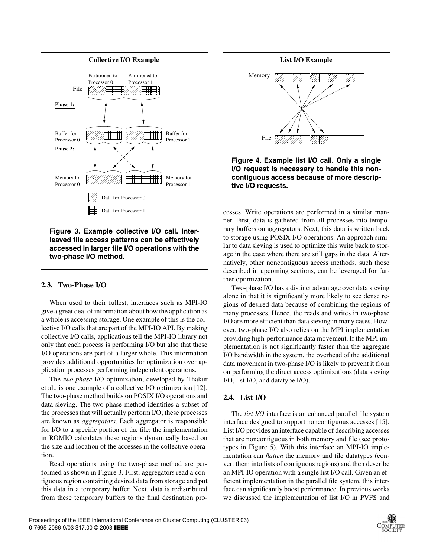

#### **Collective I/O Example**

**Figure 3. Example collective I/O call. Interleaved file access patterns can be effectively accessed in larger file I/O operations with the two-phase I/O method.**

#### **2.3. Two-Phase I/O**

When used to their fullest, interfaces such as MPI-IO give a great deal of information about how the application as a whole is accessing storage. One example of this is the collective I/O calls that are part of the MPI-IO API. By making collective I/O calls, applications tell the MPI-IO library not only that each process is performing I/O but also that these I/O operations are part of a larger whole. This information provides additional opportunities for optimization over application processes performing independent operations.

The *two-phase* I/O optimization, developed by Thakur et al., is one example of a collective I/O optimization [12]. The two-phase method builds on POSIX I/O operations and data sieving. The two-phase method identifies a subset of the processes that will actually perform I/O; these processes are known as *aggregators*. Each aggregator is responsible for I/O to a specific portion of the file; the implementation in ROMIO calculates these regions dynamically based on the size and location of the accesses in the collective operation.

Read operations using the two-phase method are performed as shown in Figure 3. First, aggregators read a contiguous region containing desired data from storage and put this data in a temporary buffer. Next, data is redistributed from these temporary buffers to the final destination pro-



**Figure 4. Example list I/O call. Only a single I/O request is necessary to handle this noncontiguous access because of more descriptive I/O requests.**

cesses. Write operations are performed in a similar manner. First, data is gathered from all processes into temporary buffers on aggregators. Next, this data is written back to storage using POSIX I/O operations. An approach similar to data sieving is used to optimize this write back to storage in the case where there are still gaps in the data. Alternatively, other noncontiguous access methods, such those described in upcoming sections, can be leveraged for further optimization.

Two-phase I/O has a distinct advantage over data sieving alone in that it is significantly more likely to see dense regions of desired data because of combining the regions of many processes. Hence, the reads and writes in two-phase I/O are more efficient than data sieving in many cases. However, two-phase I/O also relies on the MPI implementation providing high-performance data movement. If the MPI implementation is not significantly faster than the aggregate I/O bandwidth in the system, the overhead of the additional data movement in two-phase I/O is likely to prevent it from outperforming the direct access optimizations (data sieving I/O, list I/O, and datatype I/O).

### **2.4. List I/O**

The *list I/O* interface is an enhanced parallel file system interface designed to support noncontiguous accesses [15]. List I/O provides an interface capable of describing accesses that are noncontiguous in both memory and file (see prototypes in Figure 5). With this interface an MPI-IO implementation can *flatten* the memory and file datatypes (convert them into lists of contiguous regions) and then describe an MPI-IO operation with a single list I/O call. Given an efficient implementation in the parallel file system, this interface can significantly boost performance. In previous works we discussed the implementation of list I/O in PVFS and

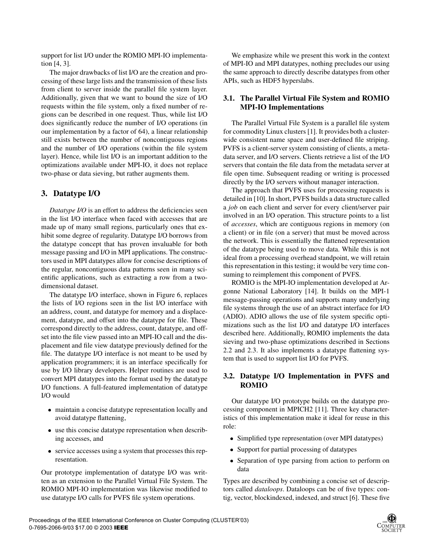support for list I/O under the ROMIO MPI-IO implementation [4, 3].

The major drawbacks of list I/O are the creation and processing of these large lists and the transmission of these lists from client to server inside the parallel file system layer. Additionally, given that we want to bound the size of I/O requests within the file system, only a fixed number of regions can be described in one request. Thus, while list I/O does significantly reduce the number of I/O operations (in our implementation by a factor of 64), a linear relationship still exists between the number of noncontiguous regions and the number of I/O operations (within the file system layer). Hence, while list I/O is an important addition to the optimizations available under MPI-IO, it does not replace two-phase or data sieving, but rather augments them.

# **3. Datatype I/O**

*Datatype I/O* is an effort to address the deficiencies seen in the list I/O interface when faced with accesses that are made up of many small regions, particularly ones that exhibit some degree of regularity. Datatype I/O borrows from the datatype concept that has proven invaluable for both message passing and I/O in MPI applications. The constructors used in MPI datatypes allow for concise descriptions of the regular, noncontiguous data patterns seen in many scientific applications, such as extracting a row from a twodimensional dataset.

The datatype I/O interface, shown in Figure 6, replaces the lists of I/O regions seen in the list I/O interface with an address, count, and datatype for memory and a displacement, datatype, and offset into the datatype for file. These correspond directly to the address, count, datatype, and offset into the file view passed into an MPI-IO call and the displacement and file view datatype previously defined for the file. The datatype I/O interface is not meant to be used by application programmers; it is an interface specifically for use by I/O library developers. Helper routines are used to convert MPI datatypes into the format used by the datatype I/O functions. A full-featured implementation of datatype I/O would

- maintain a concise datatype representation locally and avoid datatype flattening,
- use this concise datatype representation when describing accesses, and
- service accesses using a system that processes this representation.

Our prototype implementation of datatype I/O was written as an extension to the Parallel Virtual File System. The ROMIO MPI-IO implementation was likewise modified to use datatype I/O calls for PVFS file system operations.

We emphasize while we present this work in the context of MPI-IO and MPI datatypes, nothing precludes our using the same approach to directly describe datatypes from other APIs, such as HDF5 hyperslabs.

# **3.1. The Parallel Virtual File System and ROMIO MPI-IO Implementations**

The Parallel Virtual File System is a parallel file system for commodity Linux clusters [1]. It provides both a clusterwide consistent name space and user-defined file striping. PVFS is a client-server system consisting of clients, a metadata server, and I/O servers. Clients retrieve a list of the I/O servers that contain the file data from the metadata server at file open time. Subsequent reading or writing is processed directly by the I/O servers without manager interaction.

The approach that PVFS uses for processing requests is detailed in [10]. In short, PVFS builds a data structure called a *job* on each client and server for every client/server pair involved in an I/O operation. This structure points to a list of *accesses*, which are contiguous regions in memory (on a client) or in file (on a server) that must be moved across the network. This is essentially the flattened representation of the datatype being used to move data. While this is not ideal from a processing overhead standpoint, we will retain this representation in this testing; it would be very time consuming to reimplement this component of PVFS.

ROMIO is the MPI-IO implementation developed at Argonne National Laboratory [14]. It builds on the MPI-1 message-passing operations and supports many underlying file systems through the use of an abstract interface for I/O (ADIO). ADIO allows the use of file system specific optimizations such as the list I/O and datatype I/O interfaces described here. Additionally, ROMIO implements the data sieving and two-phase optimizations described in Sections 2.2 and 2.3. It also implements a datatype flattening system that is used to support list I/O for PVFS.

## **3.2. Datatype I/O Implementation in PVFS and ROMIO**

Our datatype I/O prototype builds on the datatype processing component in MPICH2 [11]. Three key characteristics of this implementation make it ideal for reuse in this role:

- Simplified type representation (over MPI datatypes)
- Support for partial processing of datatypes
- Separation of type parsing from action to perform on data

Types are described by combining a concise set of descriptors called *dataloops*. Dataloops can be of five types: contig, vector, blockindexed, indexed, and struct [6]. These five

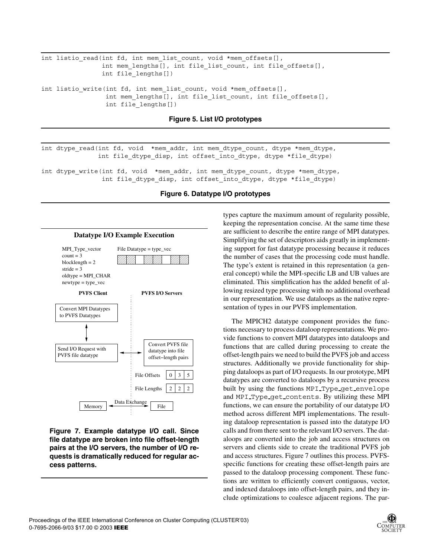int listio read(int fd, int mem list count, void \*mem offsets[], int mem\_lengths[], int file\_list\_count, int file\_offsets[], int file\_lengths[]) int listio write(int fd, int mem list count, void \*mem offsets[], int mem lengths[], int file list count, int file offsets[], int file\_lengths[])

#### **Figure 5. List I/O prototypes**

int dtype read(int fd, void \*mem\_addr, int mem\_dtype\_count, dtype \*mem\_dtype, int file dtype disp, int offset into dtype, dtype \*file dtype)

int dtype\_write(int fd, void \*mem\_addr, int mem\_dtype\_count, dtype \*mem\_dtype, int file dtype disp, int offset into dtype, dtype \*file dtype)



### **Figure 7. Example datatype I/O call. Since file datatype are broken into file offset-length pairs at the I/O servers, the number of I/O requests is dramatically reduced for regular access patterns.**

### **Figure 6. Datatype I/O prototypes**

types capture the maximum amount of regularity possible, keeping the representation concise. At the same time these are sufficient to describe the entire range of MPI datatypes. Simplifying the set of descriptors aids greatly in implementing support for fast datatype processing because it reduces the number of cases that the processing code must handle. The type's extent is retained in this representation (a general concept) while the MPI-specific LB and UB values are eliminated. This simplification has the added benefit of allowing resized type processing with no additional overhead in our representation. We use dataloops as the native representation of types in our PVFS implementation.

The MPICH2 datatype component provides the functions necessary to process dataloop representations. We provide functions to convert MPI datatypes into dataloops and functions that are called during processing to create the offset-length pairs we need to build the PVFS job and access structures. Additionally we provide functionality for shipping dataloops as part of I/O requests. In our prototype, MPI datatypes are converted to dataloops by a recursive process built by using the functions MPI Type get envelope and MPI Type get contents. By utilizing these MPI functions, we can ensure the portability of our datatype I/O method across different MPI implementations. The resulting dataloop representation is passed into the datatype I/O calls and from there sent to the relevant I/O servers. The dataloops are converted into the job and access structures on servers and clients side to create the traditional PVFS job and access structures. Figure 7 outlines this process. PVFSspecific functions for creating these offset-length pairs are passed to the dataloop processing component. These functions are written to efficiently convert contiguous, vector, and indexed dataloops into offset-length pairs, and they include optimizations to coalesce adjacent regions. The par-

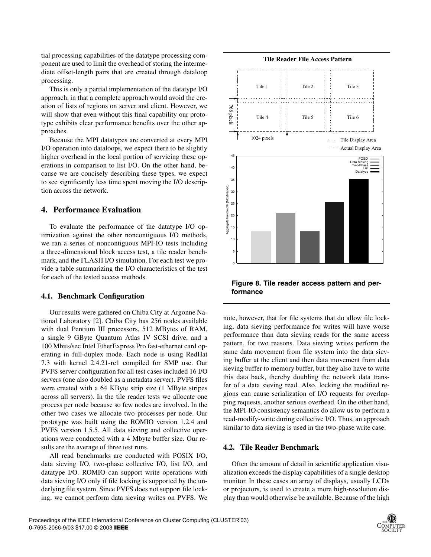tial processing capabilities of the datatype processing component are used to limit the overhead of storing the intermediate offset-length pairs that are created through dataloop processing.

This is only a partial implementation of the datatype I/O approach, in that a complete approach would avoid the creation of lists of regions on server and client. However, we will show that even without this final capability our prototype exhibits clear performance benefits over the other approaches.

Because the MPI datatypes are converted at every MPI I/O operation into dataloops, we expect there to be slightly higher overhead in the local portion of servicing these operations in comparison to list I/O. On the other hand, because we are concisely describing these types, we expect to see significantly less time spent moving the I/O description across the network.

### **4. Performance Evaluation**

To evaluate the performance of the datatype I/O optimization against the other noncontiguous I/O methods, we ran a series of noncontiguous MPI-IO tests including a three-dimensional block access test, a tile reader benchmark, and the FLASH I/O simulation. For each test we provide a table summarizing the I/O characteristics of the test for each of the tested access methods.

#### **4.1. Benchmark Configuration**

Our results were gathered on Chiba City at Argonne National Laboratory [2]. Chiba City has 256 nodes available with dual Pentium III processors, 512 MBytes of RAM, a single 9 GByte Quantum Atlas IV SCSI drive, and a 100 Mbits/sec Intel EtherExpress Pro fast-ethernet card operating in full-duplex mode. Each node is using RedHat 7.3 with kernel 2.4.21-rc1 compiled for SMP use. Our PVFS server configuration for all test cases included 16 I/O servers (one also doubled as a metadata server). PVFS files were created with a 64 KByte strip size (1 MByte stripes across all servers). In the tile reader tests we allocate one process per node because so few nodes are involved. In the other two cases we allocate two processes per node. Our prototype was built using the ROMIO version 1.2.4 and PVFS version 1.5.5. All data sieving and collective operations were conducted with a 4 Mbyte buffer size. Our results are the average of three test runs.

All read benchmarks are conducted with POSIX I/O, data sieving I/O, two-phase collective I/O, list I/O, and datatype I/O. ROMIO can support write operations with data sieving I/O only if file locking is supported by the underlying file system. Since PVFS does not support file locking, we cannot perform data sieving writes on PVFS. We



**Figure 8. Tile reader access pattern and performance**

note, however, that for file systems that do allow file locking, data sieving performance for writes will have worse performance than data sieving reads for the same access pattern, for two reasons. Data sieving writes perform the same data movement from file system into the data sieving buffer at the client and then data movement from data sieving buffer to memory buffer, but they also have to write this data back, thereby doubling the network data transfer of a data sieving read. Also, locking the modified regions can cause serialization of I/O requests for overlapping requests, another serious overhead. On the other hand, the MPI-IO consistency semantics do allow us to perform a read-modify-write during collective I/O. Thus, an approach similar to data sieving is used in the two-phase write case.

#### **4.2. Tile Reader Benchmark**

Often the amount of detail in scientific application visualization exceeds the display capabilities of a single desktop monitor. In these cases an array of displays, usually LCDs or projectors, is used to create a more high-resolution display than would otherwise be available. Because of the high

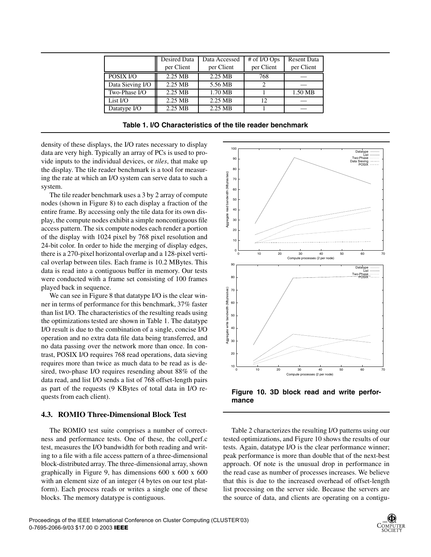|                  | Desired Data | Data Accessed | # of I/O Ops | <b>Resent Data</b> |  |
|------------------|--------------|---------------|--------------|--------------------|--|
|                  | per Client   | per Client    | per Client   | per Client         |  |
| POSIX I/O        | 2.25 MB      | 2.25 MB       | 768          |                    |  |
| Data Sieving I/O | 2.25 MB      | 5.56 MB       |              |                    |  |
| Two-Phase I/O    | 2.25 MB      | 1.70 MB       |              | 1.50 MB            |  |
| List I/O         | 2.25 MB      | 2.25 MB       | 12           |                    |  |
| Datatype I/O     | 2.25 MB      | 2.25 MB       |              |                    |  |

**Table 1. I/O Characteristics of the tile reader benchmark**

density of these displays, the I/O rates necessary to display data are very high. Typically an array of PCs is used to provide inputs to the individual devices, or *tiles*, that make up the display. The tile reader benchmark is a tool for measuring the rate at which an I/O system can serve data to such a system.

The tile reader benchmark uses a 3 by 2 array of compute nodes (shown in Figure 8) to each display a fraction of the entire frame. By accessing only the tile data for its own display, the compute nodes exhibit a simple noncontiguous file access pattern. The six compute nodes each render a portion of the display with 1024 pixel by 768 pixel resolution and 24-bit color. In order to hide the merging of display edges, there is a 270-pixel horizontal overlap and a 128-pixel vertical overlap between tiles. Each frame is 10.2 MBytes. This data is read into a contiguous buffer in memory. Our tests were conducted with a frame set consisting of 100 frames played back in sequence.

We can see in Figure 8 that datatype I/O is the clear winner in terms of performance for this benchmark, 37% faster than list I/O. The characteristics of the resulting reads using the optimizations tested are shown in Table 1. The datatype I/O result is due to the combination of a single, concise I/O operation and no extra data file data being transferred, and no data passing over the network more than once. In contrast, POSIX I/O requires 768 read operations, data sieving requires more than twice as much data to be read as is desired, two-phase I/O requires resending about 88% of the data read, and list I/O sends a list of 768 offset-length pairs as part of the requests (9 KBytes of total data in I/O requests from each client).

### **4.3. ROMIO Three-Dimensional Block Test**

The ROMIO test suite comprises a number of correctness and performance tests. One of these, the coll perf.c test, measures the I/O bandwidth for both reading and writing to a file with a file access pattern of a three-dimensional block-distributed array. The three-dimensional array, shown graphically in Figure 9, has dimensions 600 x 600 x 600 with an element size of an integer (4 bytes on our test platform). Each process reads or writes a single one of these blocks. The memory datatype is contiguous.



**Figure 10. 3D block read and write performance**

Table 2 characterizes the resulting I/O patterns using our tested optimizations, and Figure 10 shows the results of our tests. Again, datatype I/O is the clear performance winner; peak performance is more than double that of the next-best approach. Of note is the unusual drop in performance in the read case as number of processes increases. We believe that this is due to the increased overhead of offset-length list processing on the server side. Because the servers are the source of data, and clients are operating on a contigu-

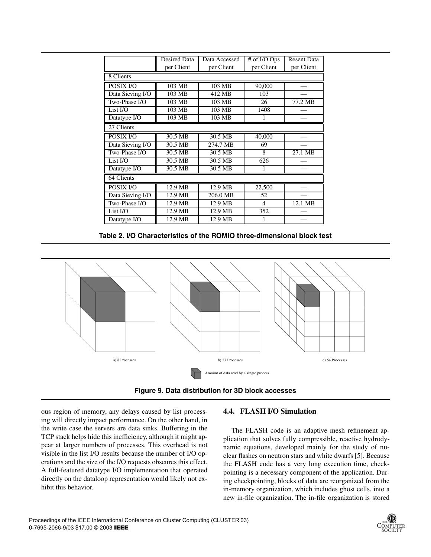|                  | Desired Data<br>per Client | Data Accessed<br>per Client | # of I/O Ops<br>per Client | <b>Resent Data</b><br>per Client |
|------------------|----------------------------|-----------------------------|----------------------------|----------------------------------|
|                  |                            |                             |                            |                                  |
| 8 Clients        |                            |                             |                            |                                  |
| POSIX I/O        | 103 MB                     | 103 MB                      | 90,000                     |                                  |
| Data Sieving I/O | 103 MB                     | 412 MB                      | 103                        |                                  |
| Two-Phase I/O    | 103 MB                     | 103 MB                      | 26                         | 77.2 MB                          |
| List I/O         | 103 MB                     | 103 MB                      | 1408                       |                                  |
| Datatype I/O     | 103 MB                     | 103 MB                      |                            |                                  |
| 27 Clients       |                            |                             |                            |                                  |
| POSIX I/O        | 30.5 MB                    | 30.5 MB                     | 40,000                     |                                  |
| Data Sieving I/O | 30.5 MB                    | 274.7 MB                    | 69                         |                                  |
| Two-Phase I/O    | 30.5 MB                    | 30.5 MB                     | 8                          | 27.1 MB                          |
| List I/O         | 30.5 MB                    | 30.5 MB                     | 626                        |                                  |
| Datatype I/O     | 30.5 MB                    | 30.5 MB                     | 1                          |                                  |
| 64 Clients       |                            |                             |                            |                                  |
| POSIX I/O        | 12.9 MB                    | 12.9 MB                     | 22,500                     |                                  |
| Data Sieving I/O | 12.9 MB                    | 206.0 MB                    | 52                         |                                  |
| Two-Phase I/O    | 12.9 MB                    | 12.9 MB                     | $\overline{4}$             | 12.1 MB                          |
| List I/O         | 12.9 MB                    | 12.9 MB                     | 352                        |                                  |
| Datatype I/O     | 12.9 MB                    | 12.9 MB                     | 1                          |                                  |

**Table 2. I/O Characteristics of the ROMIO three-dimensional block test**





ous region of memory, any delays caused by list processing will directly impact performance. On the other hand, in the write case the servers are data sinks. Buffering in the TCP stack helps hide this inefficiency, although it might appear at larger numbers of processes. This overhead is not visible in the list I/O results because the number of I/O operations and the size of the I/O requests obscures this effect. A full-featured datatype I/O implementation that operated directly on the dataloop representation would likely not exhibit this behavior.

# **4.4. FLASH I/O Simulation**

The FLASH code is an adaptive mesh refinement application that solves fully compressible, reactive hydrodynamic equations, developed mainly for the study of nuclear flashes on neutron stars and white dwarfs [5]. Because the FLASH code has a very long execution time, checkpointing is a necessary component of the application. During checkpointing, blocks of data are reorganized from the in-memory organization, which includes ghost cells, into a new in-file organization. The in-file organization is stored

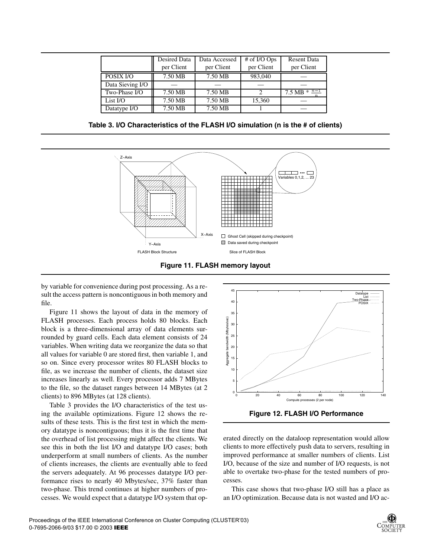|                  | Desired Data<br>per Client | Data Accessed<br>per Client | $#$ of I/O Ops<br>per Client | <b>Resent Data</b><br>per Client |
|------------------|----------------------------|-----------------------------|------------------------------|----------------------------------|
| POSIX I/O        | 7.50 MB                    | 7.50 MB                     | 983,040                      |                                  |
| Data Sieving I/O |                            |                             |                              |                                  |
| Two-Phase I/O    | 7.50 MB                    | 7.50 MB                     |                              | 7.5 MB $*$ $\frac{n-1}{n}$       |
| List I/O         | 7.50 MB                    | 7.50 MB                     | 15,360                       |                                  |
| Datatype I/O     | 7.50 MB                    | 7.50 MB                     |                              |                                  |

**Table 3. I/O Characteristics of the FLASH I/O simulation (n is the # of clients)**





by variable for convenience during post processing. As a result the access pattern is noncontiguous in both memory and file.

Figure 11 shows the layout of data in the memory of FLASH processes. Each process holds 80 blocks. Each block is a three-dimensional array of data elements surrounded by guard cells. Each data element consists of 24 variables. When writing data we reorganize the data so that all values for variable 0 are stored first, then variable 1, and so on. Since every processor writes 80 FLASH blocks to file, as we increase the number of clients, the dataset size increases linearly as well. Every processor adds 7 MBytes to the file, so the dataset ranges between 14 MBytes (at 2 clients) to 896 MBytes (at 128 clients).

Table 3 provides the I/O characteristics of the test using the available optimizations. Figure 12 shows the results of these tests. This is the first test in which the memory datatype is noncontiguous; thus it is the first time that the overhead of list processing might affect the clients. We see this in both the list I/O and datatype I/O cases; both underperform at small numbers of clients. As the number of clients increases, the clients are eventually able to feed the servers adequately. At 96 processes datatype I/O performance rises to nearly 40 Mbytes/sec, 37% faster than two-phase. This trend continues at higher numbers of processes. We would expect that a datatype I/O system that op-





erated directly on the dataloop representation would allow clients to more effectively push data to servers, resulting in improved performance at smaller numbers of clients. List I/O, because of the size and number of I/O requests, is not able to overtake two-phase for the tested numbers of processes.

This case shows that two-phase I/O still has a place as an I/O optimization. Because data is not wasted and I/O ac-